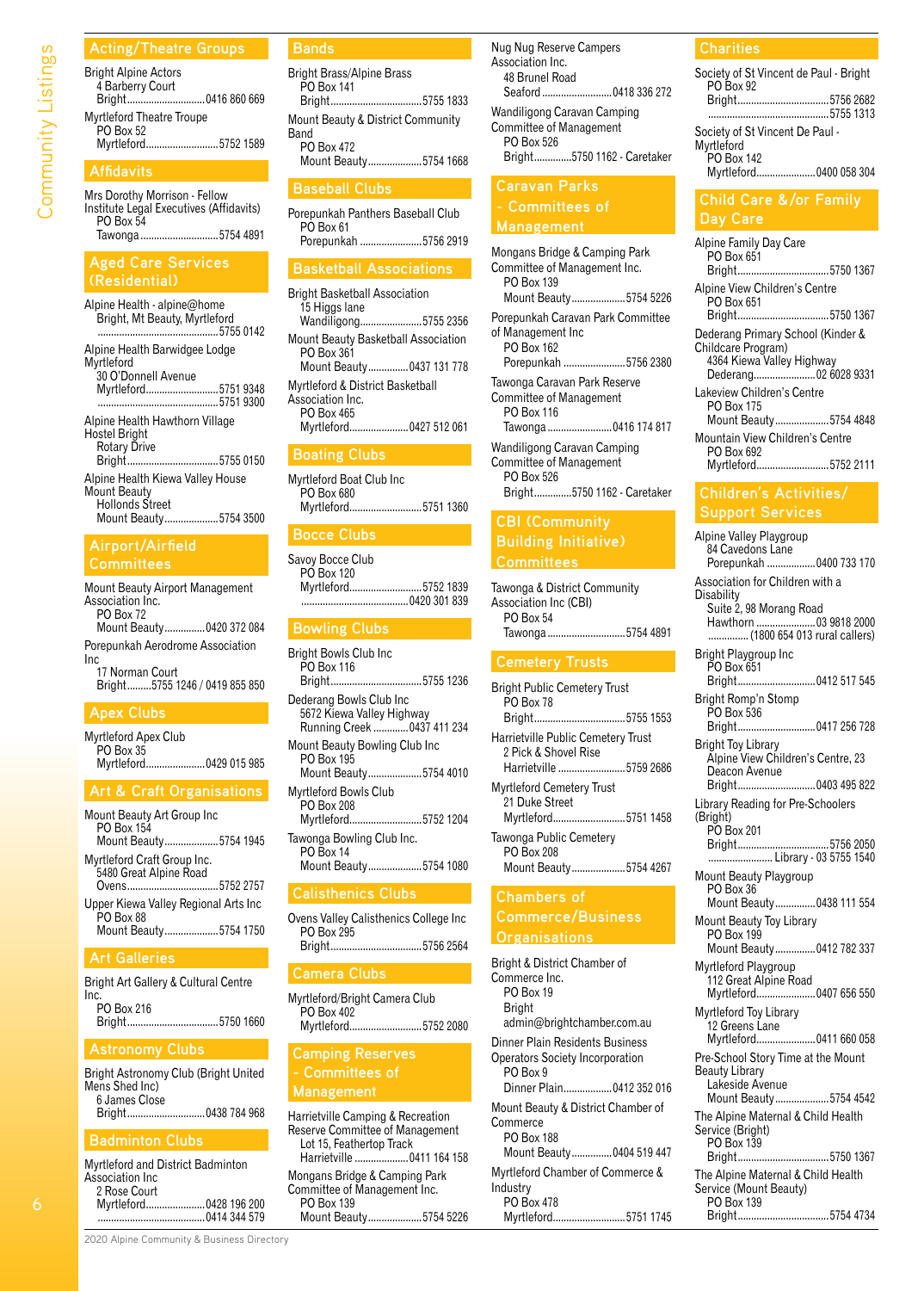#### **Acting/Theatre Groups**

| <b>Bright Alpine Actors</b> |  |
|-----------------------------|--|
| 4 Barberry Court            |  |
|                             |  |
| Myrtleford Theatre Troupe   |  |
| $DO$ $Row$ 52               |  |

PO Box 52 Myrtleford...........................5752 1589

#### **Affidavits**

Mrs Dorothy Morrison - Fellow Institute Legal Executives (Affidavits) PO Box 54<br>Tawonga... ....5754 4891

#### **Aged Care Services (Residential)**

Alpine Health - alpine@home Bright, Mt Beauty, Myrtleford .............................................5755 0142 Alpine Health Barwidgee Lodge Myrtleford 30 O'Donnell Avenue Myrtleford...........................5751 9348 ...5751 9300 Alpine Health Hawthorn Village Hostel Bright Rotary Drive<br>Bright........... .....................5755 0150 Alpine Health Kiewa Valley House Mount Beauty Hollonds Street Mount Beauty....................5754 3500

#### **Airport/Airfield Committees**

Mount Beauty Airport Management Association Inc. PO Box 72 Mount Beauty...............0420 372 084 Porepunkah Aerodrome Association Inc 17 Norman Court Bright.........5755 1246 / 0419 855 850

#### **Apex Clubs**

Myrtleford Apex Club PO Box 35 Myrtleford......................0429 015 985

#### **Art & Craft Organisations**

| Mount Beauty Art Group Inc<br>PO Box 154<br>Mount Beauty5754 1945             |
|-------------------------------------------------------------------------------|
| Myrtleford Craft Group Inc.<br>5480 Great Alpine Road<br>Ovens5752 2757       |
| Upper Kiewa Valley Regional Arts Inc<br>PO Box 88<br>Mount Beauty5754 1750    |
| <b>Art Galleries</b>                                                          |
| Bright Art Gallery & Cultural Centre<br>Inc.<br>PO Box 216<br>Bright5750 1660 |
| <b>Astronomy Clubs</b>                                                        |

Bright Astronomy Club (Bright United Mens Shed Inc) 6 James Close ..0438 784 968

#### **Badminton Clubs**

Myrtleford and District Badminton Association Inc 2 Rose Court Myrtleford......................0428 196 200 ........................................0414 344 579

#### **Bands**

| <b>Bright Brass/Alpine Brass</b><br>PO Box 141 |
|------------------------------------------------|
| Bright5755 1833                                |
| Mount Beauty & District Community<br>Rand      |
| PO Box 472                                     |
| Mount Beauty5754 1668                          |

#### **Baseball Clubs**

Porepunkah Panthers Baseball Club PO Box 61 Porepunkah .......................5756 2919

#### **Basketball Associations**

Bright Basketball Association 15 Higgs lane Wandiligong.......................5755 2356 Mount Beauty Basketball Association PO Box 361 Mount Beauty...............0437 131 778 Myrtleford & District Basketball Association Inc. PO Box 465<br>Myrtleford... ...................0427 512 061

#### **Boating Clubs**

Myrtleford Boat Club Inc PO Box 680 Myrtleford...........................5751 1360

**Bocce Clubs** Savoy Bocce Club

PO Box 120 Myrtleford...........................5752 1839 ...0420 301 839

#### **Bowling Clubs**

| <b>Bright Bowls Club Inc</b><br>PO Box 116<br>Bright5755 1236                       |
|-------------------------------------------------------------------------------------|
| Dederang Bowls Club Inc<br>5672 Kiewa Valley Highway<br>Running Creek  0437 411 234 |
| Mount Beauty Bowling Club Inc<br>PO Box 195<br>Mount Beauty5754 4010                |
| Mvrtleford Bowls Club<br>PO Box 208<br>Myrtleford5752 1204                          |
| Tawonga Bowling Club Inc.<br><b>PO Box 14</b><br>Mount Beauty5754 1080              |

#### **Calisthenics Clubs**

| Ovens Valley Calisthenics College Inc |  |
|---------------------------------------|--|
| PO Box 295                            |  |
|                                       |  |

#### **Camera Clubs**

Myrtleford/Bright Camera Club  $PO$  Box 402 Myrtleford...........................5752 2080

#### **Camping Reserves - Committees of Management**

Harrietville Camping & Recreation Reserve Committee of Management Lot 15, Feathertop Track Harrietville ....................0411 164 158 Mongans Bridge & Camping Park Committee of Management Inc. PO Box 139 Mount Beauty....................5754 5226 Nug Nug Reserve Campers Association Inc. 48 Brunel Road<br>Seaford Seaford..........................0418 336 272 Wandiligong Caravan Camping Committee of Management PO Box 526<br>Bright......... Bright..............5750 1162 - Caretaker

## **Caravan Parks - Committees of**

Mongans Bridge & Camping Park Committee of Management Inc. PO Box 139 Mount Beauty....................5754 5226 Porepunkah Caravan Park Committee of Management Inc PO Box 162 Porepunkah .......................5756 2380 Tawonga Caravan Park Reserve Committee of Management PO Box 116 Tawonga ........................0416 174 817 Wandiligong Caravan Camping Committee of Management **PO Box 526**<br>**Bright**......... Bright..............5750 1162 - Caretaker

#### **CBI (Community Building Initiative) Committees**

Tawonga & District Community Association Inc (CBI) PO Box 54<br>Tawonga... .....................5754 4891

Bright Public Cemetery Trust PO Box 78 Bright..................................5755 1553 Harrietville Public Cemetery Trust 2 Pick & Shovel Rise Harrietville .........................5759 2686 Myrtleford Cemetery Trust 21 Duke Street<br>Myrtleford........ ..........5751 1458 Tawonga Public Cemetery PO Box 208 Mount Beauty....................5754 4267

#### **Chambers of Commerce/Business Organisations**

Bright & District Chamber of Commerce Inc. PO Box 19 Bright admin@brightchamber.com.au Dinner Plain Residents Business Operators Society Incorporation PO Box 9 Dinner Plain..................0412 352 016 Mount Beauty & District Chamber of **Commerce** PO Box 188 Mount Beauty...............0404 519 447 Myrtleford Chamber of Commerce & Industry PO Box 478

Myrtleford...........................5751 1745

#### **Charities**

Society of St Vincent de Paul - Bright PO Box 92 Bright..................................5756 2682 .............................................5755 1313 Society of St Vincent De Paul - Myrtleford PO Box 142<br>Myrtleford.... ................0400 058 304

#### **Child Care &/or Family Day Care**

Alpine Family Day Care PO Box 651<br>Bright......... Bright..................................5750 1367 Alpine View Children's Centre PO Box 651<br>Bright.......... ...................5750 1367 Dederang Primary School (Kinder & Childcare Program) 4364 Kiewa Valley Highway .....<sup>.</sup>...........02 6028 9331 Lakeview Children's Centre PO Box 175 Mount Beauty....................5754 4848 Mountain View Children's Centre PO Box 692 Myrtleford...........................5752 2111

#### **Children's Activities/ Support Services**

Alpine Valley Playgroup 84 Cavedons Lane<br>Porepunkah .......... ............0400 733 170 Association for Children with a Disability Suite 2, 98 Morang Road Hawthorn ......................03 9818 2000 ...............(1800 654 013 rural callers) Bright Playgroup Inc PO Box 651<br>Bright......... Bright.............................0412 517 545 Bright Romp'n Stomp PO Box 536 Bright.............................0417 256 728 Bright Toy Library Alpine View Children's Centre, 23 Deacon Avenue<br>Bright.................. Bright.............................0403 495 822 Library Reading for Pre-Schoolers (Bright) PO Box 201 Bright..................................5756 2050 ... Library - 03 5755 1540 Mount Beauty Playgroup PO Box 36 Mount Beauty...............0438 111 554 Mount Beauty Toy Library PO Box 199 Mount Beauty...............0412 782 337 Myrtleford Playgroup 112 Great Alpine Road<br>Myrtleford...................... ................0407 656 550 Myrtleford Toy Library 12 Greens Lane Myrtleford......................0411 660 058 Pre-School Story Time at the Mount Beauty Library Lakeside Avenue Mount Beauty....................5754 4542 The Alpine Maternal & Child Health Service (Bright) PO Box 139 Bright..................................5750 1367 The Alpine Maternal & Child Health Service (Mount Beauty) PO Box 139 Bright..................................5754 4734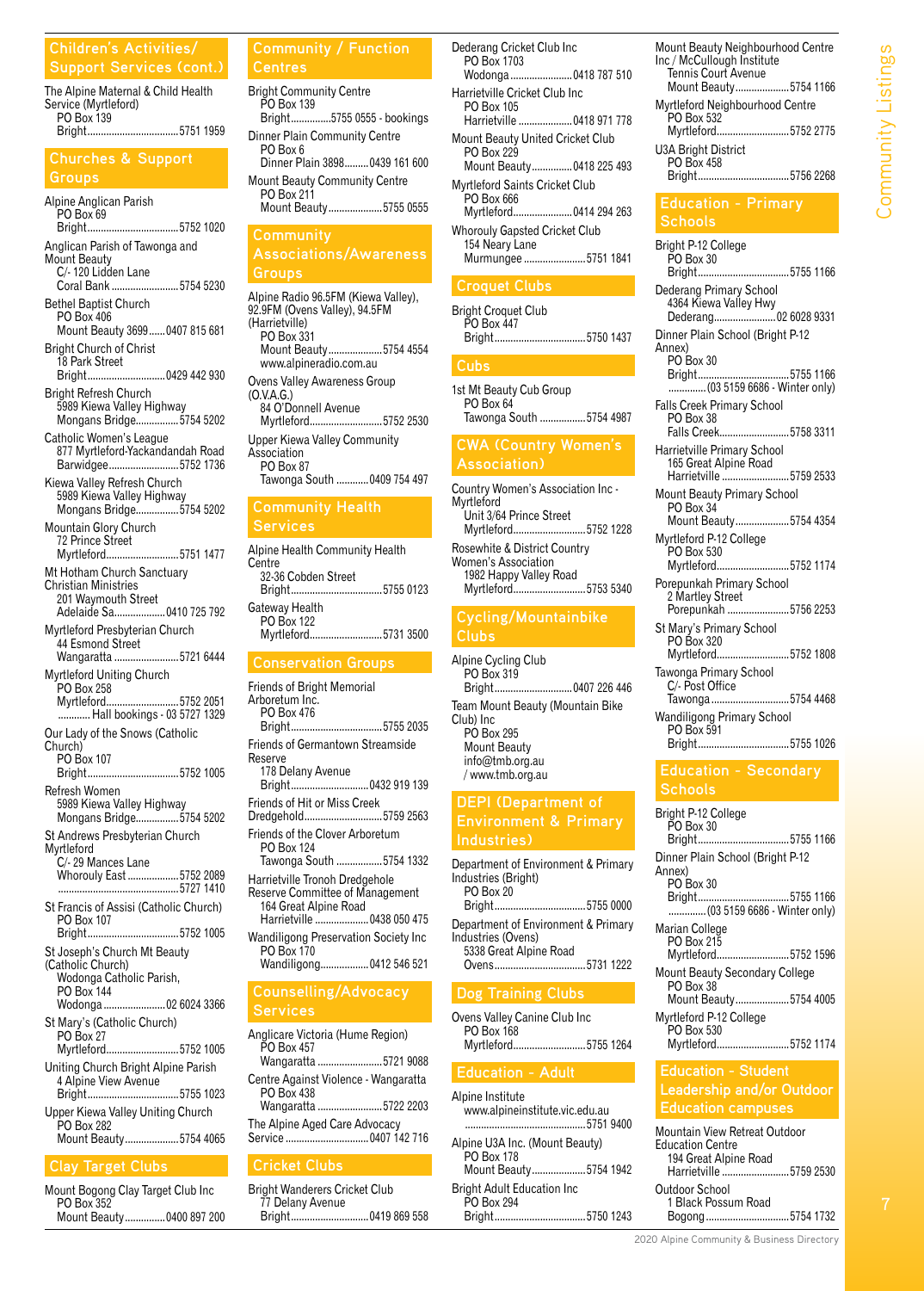#### **Children's Activities/ Support Services (cont.)**

The Alpine Maternal & Child Health Service (Myrtleford) PO Box 139 Bright..................................5751 1959

#### **Churches & Support Groups**

Alpine Anglican Parish PO Box 69<br>Bright........ ....................5752 1020 Anglican Parish of Tawonga and Mount Beauty C/- 120 Lidden Lane Coral Bank .........................5754 5230 Bethel Baptist Church PO Box 406 Mount Beauty 3699......0407 815 681 Bright Church of Christ 18 Park Street<br>Bright................ ..........0429 442 930 Bright Refresh Church 5989 Kiewa Valley Highway Mongans Bridge................5754 5202 Catholic Women's League 877 Myrtleford-Yackandandah Road Barwidgee..........................5752 1736 Kiewa Valley Refresh Church 5989 Kiewa Valley Highway Mongans Bridge................5754 5202 Mountain Glory Church 72 Prince Street<br>Myrtleford............ ...........................5751 1477 Mt Hotham Church Sanctuary Christian Ministries 201 Waymouth Street Adelaide Sa...................0410 725 792 Myrtleford Presbyterian Church 44 Esmond Street Wangaratta ........................5721 6444 Myrtleford Uniting Church PO Box 258<br>Myrtleford..... Myrtleford...........................5752 2051 ............ Hall bookings - 03 5727 1329 Our Lady of the Snows (Catholic Church) PO Box 107<br>Bright......... Bright..................................5752 1005 Refresh Women 5989 Kiewa Valley Highway Mongans Bridge................5754 5202 St Andrews Presbyterian Church Myrtleford C/- 29 Mances Lane Whorouly East ...................5752 2089 .............................................5727 1410 St Francis of Assisi (Catholic Church) PO Box 107<br>Briaht........... ......................5752 1005 St Joseph's Church Mt Beauty (Catholic Church) Wodonga Catholic Parish, PO Box 144<br>Wodonga..... Wodonga .......................02 6024 3366 St Mary's (Catholic Church) PO Box 27<br>Myrtleford.. Myrtleford...........................5752 1005 Uniting Church Bright Alpine Parish 4 Alpine View Avenue<br>Bright................................ Bright..................................5755 1023

#### Upper Kiewa Valley Uniting Church PO Box 282 Mount Beauty....................5754 4065

#### **Clay Target Clubs**

| Mount Bogong Clay Target Club Inc |                           |
|-----------------------------------|---------------------------|
| PO Box 352                        |                           |
|                                   | Mount Beauty 0400 897 200 |

Bright Community Centre PO Box 139<br>Bright......... ...5755 0555 - bookings Dinner Plain Community Centre PO Box 6

Dinner Plain 3898.........0439 161 600 Mount Beauty Community Centre PO Box 211 Mount Beauty....................5755 0555

## **Community Associations/Awareness**

#### **Groups**

Alpine Radio 96.5FM (Kiewa Valley), 92.9FM (Ovens Valley), 94.5FM (Harrietville) PO Box 331 Mount Beauty....................5754 4554 www.alpineradio.com.au Ovens Valley Awareness Group (O.V.A.G.) 84 O'Donnell Avenue Myrtleford...........................5752 2530 Upper Kiewa Valley Community Association PO Box 87 Tawonga South ............0409 754 497 **Community Health Services** Alpine Health Community Health **Centre** 32-36 Cobden Street<br>Bright.......................... Bright..................................5755 0123

Gateway Health PO Box 122 Myrtleford...........................5731 3500

#### **Conservation Groups**

Friends of Bright Memorial Arboretum Inc. PO Box 476 Bright..................................5755 2035 Friends of Germantown Streamside Reserve 178 Delany Avenue Bright.............................0432 919 139 Friends of Hit or Miss Creek Dredgehold.............................5759 2563 Friends of the Clover Arboretum PO Box 124 Tawonga South .................5754 1332 Harrietville Tronoh Dredgehole Reserve Committee of Management 164 Great Alpine Road Harrietville ....................0438 050 475 Wandiligong Preservation Society Inc PO Box 170 Wandiligong..................0412 546 521 **Counselling/Advocacy Services** Anglicare Victoria (Hume Region) PO Box 457<br>Wangaratta ... Wangaratta ........................5721 9088 Centre Against Violence - Wangaratta PO Box 438<br>Wangaratta .. .............5722 2203

The Alpine Aged Care Advocacy Service ...............................0407 142 716

#### **Cricket Clubs**

Bright Wanderers Cricket Club 77 Delany Avenue Bright.............................0419 869 558

| Dederang Cricket Club Inc<br>PO Box 1703<br>Wodonga0418 787 510               |  |
|-------------------------------------------------------------------------------|--|
| Harrietville Cricket Club Inc<br>PO Box 105<br>Harrietville  0418 971 778     |  |
| Mount Beauty United Cricket Club<br>PO Box 229<br>Mount Beauty0418 225 493    |  |
| Myrtleford Saints Cricket Club<br>PO Box 666<br>Myrtleford0414 294 263        |  |
| <b>Whorouly Gapsted Cricket Club</b><br>154 Neary Lane<br>Murmungee 5751 1841 |  |
| <b>Croquet Clubs</b>                                                          |  |
| <b>Bright Croquet Club</b><br>PO Box 447<br>Bright5750 1437                   |  |

1st Mt Beauty Cub Group PO Box 64 Tawonga South .................5754 4987

#### **CWA (Country Women's Association)**

Country Women's Association Inc - Myrtleford Unit 3/64 Prince Street Myrtleford...........................5752 1228 Rosewhite & District Country Women's Association 1982 Happy Valley Road Myrtleford...........................5753 5340

#### **Cycling/Mountainbike Clubs**

Alpine Cycling Club PO Box 319<br>Bright........... Bright.............................0407 226 446 Team Mount Beauty (Mountain Bike Club) Inc PO Box 295 Mount Beauty info@tmb.org.au / www.tmb.org.au

#### **DEPI (Department of Environment & Primary Industries)**

Department of Environment & Primary Industries (Bright) PO Box 20 Bright..................................5755 0000 Department of Environment & Primary Industries (Ovens)

5338 Great Alpine Road<br>Ovens Ovens.............

#### **Dog Training Clubs**

Ovens Valley Canine Club Inc PO Box 168<br>Myrtleford.... Myrtleford...........................5755 1264

Alpine Institute www.alpineinstitute.vic.edu.au .............................................5751 9400 Alpine U3A Inc. (Mount Beauty)

PO Box 178 Mount Beauty....................5754 1942 Bright Adult Education Inc PO Box 294 Bright..................................5750 1243

| Mount Beauty Neighbourhood Centre<br>Inc / McCullough Institute<br>Tennis Court Avenue |
|----------------------------------------------------------------------------------------|
| Mount Beauty5754 1166                                                                  |
| Myrtleford Neighbourhood Centre<br>PO Box 532                                          |
| Myrtleford5752 2775                                                                    |
| U3A Bright District<br><b>PO Box 458</b>                                               |
| Bright5756 2268                                                                        |

# **Education - Primary**

## **Schools**

Bright P-12 College PO Box 30<br>Bright......... Bright..................................5755 1166 Dederang Primary School 4364 Kiewa Valley Hwy Dederang.............................02 6028 9331 Dinner Plain School (Bright P-12 Annex) PO Box 30<br>Bright........ Bright..................................5755 1166 ..............(03 5159 6686 - Winter only) Falls Creek Primary School PO Box 38 Falls Creek..........................5758 3311 Harrietville Primary School 165 Great Alpine Road Harrietville .........................5759 2533 Mount Beauty Primary School PO Box 34 Mount Beauty....................5754 4354 Myrtleford P-12 College PO Box 530<br>Myrtleford..... Myrtleford...........................5752 1174 Porepunkah Primary School 2 Martley Street<br>Porepunkah ........ Porepunkah .......................5756 2253 St Mary's Primary School PO Box 320<br>Myrtleford.... Myrtleford...........................5752 1808 Tawonga Primary School C/- Post Office Tawonga .............................5754 4468 Wandiligong Primary School PO Box 591<br>Bright.......... Bright..................................5755 1026

#### **Education - Secondary Schools**

| Dinner Plain School (Bright P-12<br>Annex)<br>PO Box 30<br>Marian College<br>PO Box 215<br>Mount Beauty Secondary College<br><b>PO Box 38</b><br>Mount Beauty5754 4005<br>Myrtleford P-12 College<br>PO Box 530 | Bright P-12 College<br>PO Box 30<br>Bright5755 1166 |
|-----------------------------------------------------------------------------------------------------------------------------------------------------------------------------------------------------------------|-----------------------------------------------------|
|                                                                                                                                                                                                                 |                                                     |
|                                                                                                                                                                                                                 | Bright5755 1166<br>(03 5159 6686 - Winter only)     |
|                                                                                                                                                                                                                 | Myrtleford5752 1596                                 |
|                                                                                                                                                                                                                 |                                                     |
|                                                                                                                                                                                                                 |                                                     |
|                                                                                                                                                                                                                 | Myrtleford5752 1174                                 |

#### **Education - Student Leadership and/or Outdoor Education campuses**

| ____________________          |
|-------------------------------|
| Mountain View Retreat Outdoor |
| <b>Education Centre</b>       |
| 194 Great Alpine Road         |

Harrietville .........................5759 2530 Outdoor School 1 Black Possum Road

Bogong...............................5754 1732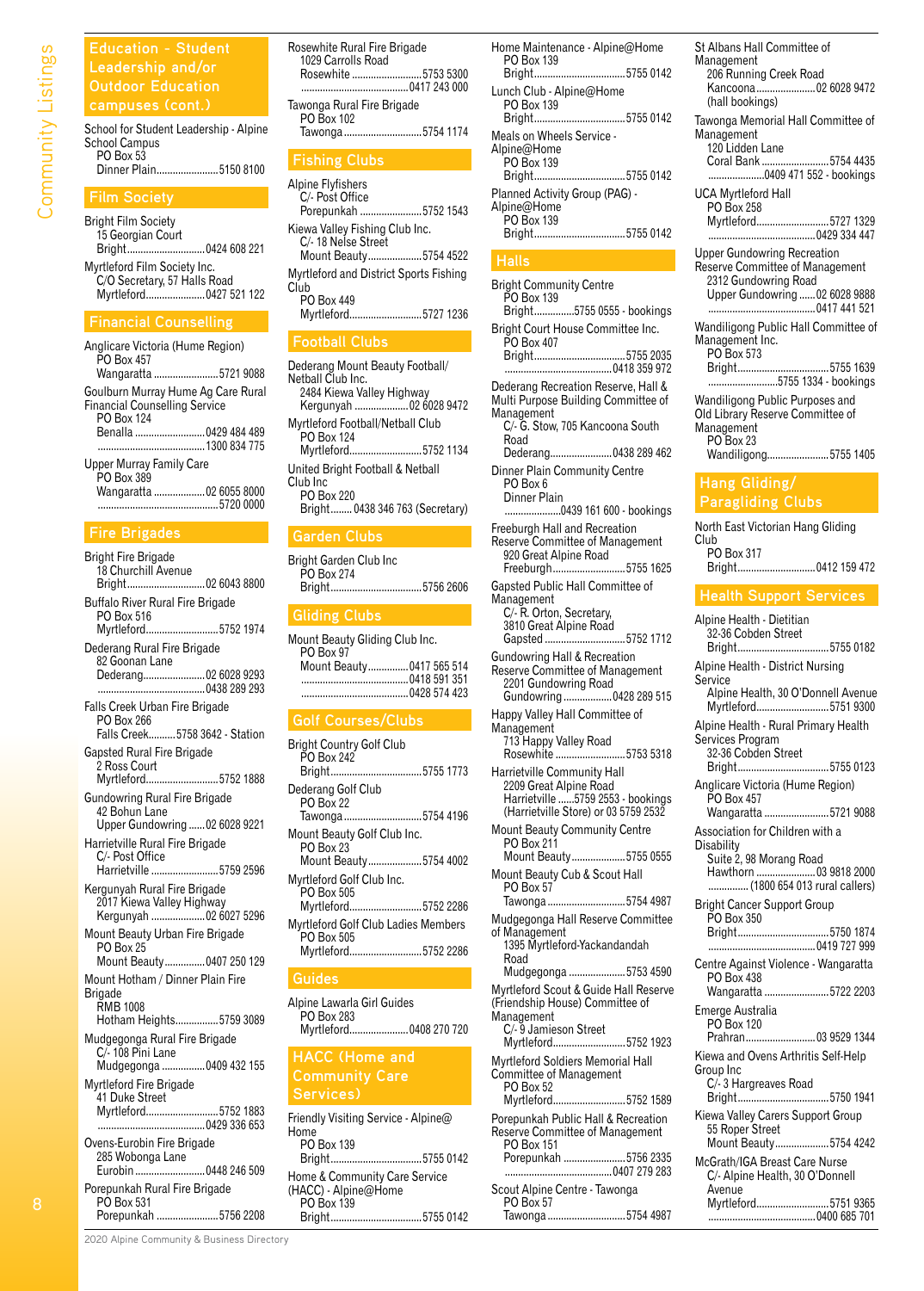**Education - Student Outdoor Education** 

School for Student Leadership - Alpine School Campus PO Box 53 Dinner Plain.......................5150 8100

#### **Film Society**

Bright Film Society 15 Georgian Court<br>Bright....................... Bright.............................0424 608 221

Myrtleford Film Society Inc. C/O Secretary, 57 Halls Road Myrtleford......................0427 521 122

#### **Financial Counselling**

| Anglicare Victoria (Hume Region)<br><b>PO Box 457</b>                                    |                                       |
|------------------------------------------------------------------------------------------|---------------------------------------|
|                                                                                          | Wangaratta 5721 9088                  |
| Goulburn Murray Hume Ag Care Rural<br><b>Financial Counselling Service</b><br>PO Box 124 | Benalla 0429 484 489<br>1300 834 775  |
| Upper Murray Family Care<br>PO Box 389                                                   | Wangaratta  02 6055 8000<br>5720 0000 |

#### **Fire Brigades**

| <b>Bright Fire Brigade</b><br>18 Churchill Avenue<br>Bright02 6043 8800              |
|--------------------------------------------------------------------------------------|
| Buffalo River Rural Fire Brigade<br>PO Box 516                                       |
| Myrtleford5752 1974<br>Dederang Rural Fire Brigade                                   |
| 82 Goonan Lane<br>Dederang02 6028 9293                                               |
| Falls Creek Urban Fire Brigade<br>PO Box 266<br>Falls Creek 5758 3642 - Station      |
| <b>Gapsted Rural Fire Brigade</b><br>2 Ross Court<br>Myrtleford5752 1888             |
| <b>Gundowring Rural Fire Brigade</b><br>42 Bohun Lane                                |
| Upper Gundowring  02 6028 9221<br>Harrietville Rural Fire Brigade<br>C/- Post Office |
| Harrietville 5759 2596                                                               |
| Kergunyah Rural Fire Brigade<br>2017 Kiewa Valley Highway<br>Kergunyah  02 6027 5296 |
| Mount Beauty Urban Fire Brigade<br><b>PO Box 25</b><br>Mount Beauty 0407 250 129     |
| Mount Hotham / Dinner Plain Fire<br><b>Brigade</b><br><b>RMB 1008</b>                |
| Hotham Heights5759 3089                                                              |
| Mudgegonga Rural Fire Brigade<br>C/-108 Pini Lane<br>Mudgegonga  0409 432 155        |
| Myrtleford Fire Brigade<br>41 Duke Street                                            |
|                                                                                      |
| Ovens-Eurobin Fire Brigade<br>285 Wobonga Lane<br>Eurobin  0448 246 509              |
| Porepunkah Rural Fire Brigade<br>PO Box 531<br>Porepunkah 5756 2208                  |

| Rosewhite Rural Fire Brigade<br>1029 Carrolls Road<br>Rosewhite 5753 5300           |
|-------------------------------------------------------------------------------------|
| Tawonga Rural Fire Brigade<br>PO Box 102<br>Tawonga 5754 1174                       |
| <b>Fishing Clubs</b>                                                                |
| Alpine Flyfishers<br>C/- Post Office<br>Porepunkah 5752 1543                        |
| Kiewa Valley Fishing Club Inc.<br>C/-18 Nelse Street<br>Mount Beauty5754 4522       |
| Myrtleford and District Sports Fishing<br>Club<br>PO Box 449<br>Myrtleford5727 1236 |
| <b><i>CALCULATION IN THE REAL PROPERTY AND</i></b>                                  |

#### **Football Clubs**

| Dederang Mount Beauty Football/<br>Nethall Club Inc.<br>2484 Kiewa Valley Highway<br>Kergunyah  02 6028 9472 |
|--------------------------------------------------------------------------------------------------------------|
| Myrtleford Football/Netball Club<br><b>PO Rox 124</b><br>Myrtleford5752 1134                                 |
| United Bright Football & Netball<br>Club Inc<br>PO Box 220<br>Bright 0438 346 763 (Secretary)                |
| <b>Garden Clubs</b>                                                                                          |

#### Bright Garden Club Inc

| PO Box 274<br>Bright5756 2606                           |
|---------------------------------------------------------|
| $\sim$ $\sim$ $\sim$ $\sim$ $\sim$ $\sim$ $\sim$ $\sim$ |

#### **Gliding Clubs**

|  | Mount Beauty Gliding Club Inc.<br>Mount Beauty 0417 565 514 |
|--|-------------------------------------------------------------|

## **Golf Courses/Clubs**

| Bright Country Golf Club<br>PO Box 242<br>Bright5755 1773                |
|--------------------------------------------------------------------------|
| Dederang Golf Club<br><b>PO Box 22</b><br>Tawonga 5754 4196              |
| Mount Beauty Golf Club Inc.<br><b>PO Box 23</b><br>Mount Beauty5754 4002 |
| Myrtleford Golf Club Inc.<br>PO Box 505<br>Myrtleford5752 2286           |
| Myrtleford Golf Club Ladies Members<br>PO Box 505<br>Myrtleford5752 2286 |
| Guides                                                                   |
| Alpine Lawarla Girl Guides<br>PO Box 283<br>Myrtleford 0408 270 720      |

#### **HACC (Home and Community Care Services)**

| Friendly Visiting Service - Alpine@<br>Home |                 |
|---------------------------------------------|-----------------|
| PO Box 139                                  |                 |
|                                             | Bright5755 0142 |
| Home & Community Care Service               |                 |
| (HACC) - Alpine@Home                        |                 |
| PO Box 139                                  |                 |
|                                             | Bright5755 0142 |

| Home Maintenance - Alpine@Home<br>Bright5755 0142 |
|---------------------------------------------------|
| Lunch Club - Alpine@Home<br>Bright5755 0142       |
| Bright5755 0142                                   |
| Planned Activity Group (PAG) -<br>Bright5755 0142 |
|                                                   |

#### **Halls**

Bright Community Centre PO Box 139 ...5755 0555 - bookings Bright Court House Committee Inc. PO Box 407 Bright..................................5755 2035 ........................................0418 359 972 Dederang Recreation Reserve, Hall & Multi Purpose Building Committee of **Management** C/- G. Stow, 705 Kancoona South Road Dederang.......................0438 289 462 Dinner Plain Community Centre PO Box 6 Dinner Plain ...0439 161 600 - bookings Freeburgh Hall and Recreation Reserve Committee of Management 920 Great Alpine Road<br>Freeburgh....................... ..................5755 1625 Gapsted Public Hall Committee of Management C/- R. Orton, Secretary, 3810 Great Alpine Road Gapsted ..............................5752 1712 Gundowring Hall & Recreation Reserve Committee of Management 2201 Gundowring Road Gundowring ..................0428 289 515 Happy Valley Hall Committee of Management 713 Happy Valley Road<br>Rosewhite ..................... ..................5753 5318 Harrietville Community Hall 2209 Great Alpine Road Harrietville ......5759 2553 - bookings (Harrietville Store) or 03 5759 2532 Mount Beauty Community Centre PO Box 211 Mount Beauty....................5755 0555 Mount Beauty Cub & Scout Hall PO Box 57 Tawonga .............................5754 4987 Mudgegonga Hall Reserve Committee of Management 1395 Myrtleford-Yackandandah Road Mudgegonga .....................5753 4590 Myrtleford Scout & Guide Hall Reserve (Friendship House) Committee of **Management** C/- 9 Jamieson Street Myrtleford...........................5752 1923 Myrtleford Soldiers Memorial Hall Committee of Management PO Box 52 Myrtleford...........................5752 1589 Porepunkah Public Hall & Recreation Reserve Committee of Management PO Box 151 Porepunkah .......................5756 2335 ........................................0407 279 283 Scout Alpine Centre - Tawonga PO Box 57

Tawonga .............................5754 4987

| St Albans Hall Committee of<br>Management<br>206 Running Creek Road<br>Kancoona02 6028 9472<br>(hall bookings)                  |
|---------------------------------------------------------------------------------------------------------------------------------|
| Tawonga Memorial Hall Committee of<br>Management<br>120 Lidden Lane<br>Coral Bank 5754 4435<br>0409 471 552 - bookings          |
| UCA Myrtleford Hall<br>PO Box 258<br>Myrtleford5727 1329                                                                        |
| <b>Upper Gundowring Recreation</b><br>Reserve Committee of Management<br>2312 Gundowring Road<br>Upper Gundowring  02 6028 9888 |
| Wandiligong Public Hall Committee of<br>Management Inc.<br>PO Box 573<br>Bright5755 1639<br>5755 1334 - bookings                |
| Wandiligong Public Purposes and<br>Old Library Reserve Committee of<br>Management<br>PO Box 23<br>Wandiligong5755 1405          |
| Hang Gliding/<br><b>CONTRACTOR</b>                                                                                              |

## **Paragliding Clubs**

North East Victorian Hang Gliding Club PO Box 317<br>Bright.......... Bright.............................0412 159 472

#### **Health Support Services**

Alpine Health - Dietitian 32-36 Cobden Street Bright..................................5755 0182 Alpine Health - District Nursing Service Alpine Health, 30 O'Donnell Avenue Myrtleford...........................5751 9300 Alpine Health - Rural Primary Health Services Program 32-36 Cobden Street<br>Bright........................... ..........................5755 0123 Anglicare Victoria (Hume Region) PO Box 457 Wangaratta ........................5721 9088 Association for Children with a Disability Suite 2, 98 Morang Road Hawthorn ......................03 9818 2000 ...............(1800 654 013 rural callers) Bright Cancer Support Group PO Box 350 Bright..................................5750 1874 ........................................0419 727 999 Centre Against Violence - Wangaratta PO Box 438 Wangaratta ........................5722 2203 Emerge Australia PO Box 120 Prahran..........................03 9529 1344 Kiewa and Ovens Arthritis Self-Help Group Inc C/- 3 Hargreaves Road<br>Bright................................ Bright..................................5750 1941 Kiewa Valley Carers Support Group 55 Roper Street Mount Beauty....................5754 4242 McGrath/IGA Breast Care Nurse C/- Alpine Health, 30 O'Donnell Avenue Myrtleford...........................5751 9365 ........................................0400 685 701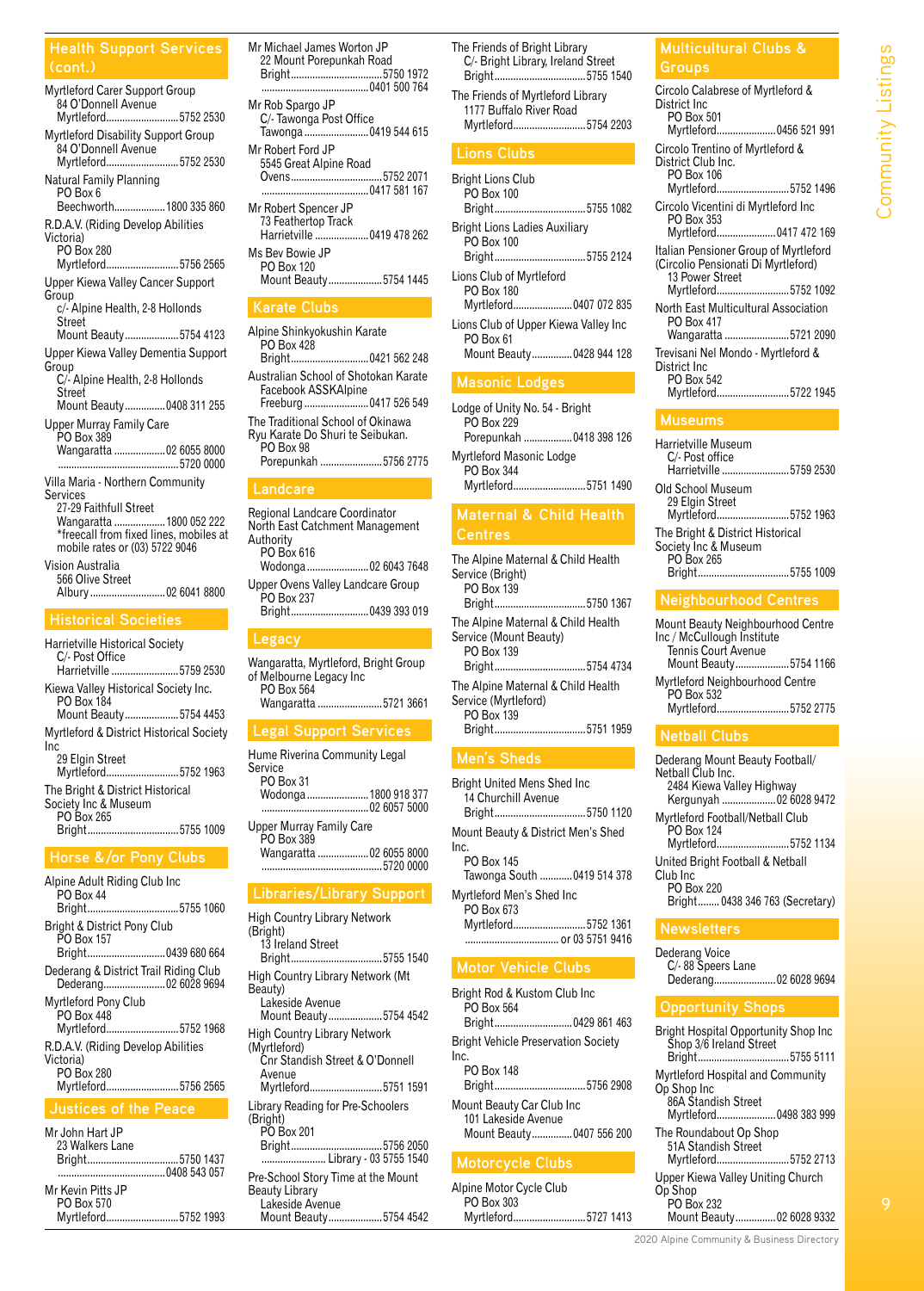#### **Health Support Services (cont.)**

Myrtleford Carer Support Group \_<br>84 O'Donnell Avenue<br>Myrtleford..................... ....................5752 2530 Myrtleford Disability Support Group 84 O'Donnell Avenue<br>Myrtleford....................... ...................5752 2530 Natural Family Planning PO Box 6 Beechworth...................1800 335 860 R.D.A.V. (Riding Develop Abilities Victoria) PO Box 280<br>Myrtleford... ....................5756 2565 Upper Kiewa Valley Cancer Support Group c/- Alpine Health, 2-8 Hollonds **Street** Mount Beauty....................5754 4123 Upper Kiewa Valley Dementia Support **Group** C/- Alpine Health, 2-8 Hollonds Street Mount Beauty...............0408 311 255 Upper Murray Family Care PO Box 389 Wangaratta ...................02 6055 8000 .............................................5720 0000 Villa Maria - Northern Community **Services** 27-29 Faithfull Street Wangaratta ...................1800 052 222 \*freecall from fixed lines, mobiles at mobile rates or (03) 5722 9046 Vision Australia

566 Olive Street<br>Albury ................ ................02 6041 8800

Harrietville Historical Society C/- Post Office<br>Harrietville ....... ..................5759 2530 Kiewa Valley Historical Society Inc. PO Box 184 Mount Beauty....................5754 4453 Myrtleford & District Historical Society Inc 29 Elgin Street<br>Myrtleford........... ...................5752 1963 The Bright & District Historical Society Inc & Museum PO Box 265<br>Bright.......... Bright..................................5755 1009

#### **Horse &/or Pony Clubs**

Alpine Adult Riding Club Inc PO Box 44<br>Bright.......... Bright..................................5755 1060 Bright & District Pony Club PO Box 157 Bright.............................0439 680 664 Dederang & District Trail Riding Club Dederang.......................02 6028 9694 Myrtleford Pony Club PO Box 448 .................5752 1968 R.D.A.V. (Riding Develop Abilities Victoria) PO Box 280 Myrtleford...........................5756 2565 **Justices of the Peace**

| Mr John Hart JP |  |
|-----------------|--|
| 23 Walkers Lane |  |
|                 |  |
|                 |  |

| Mr Kevin Pitts JP |                     |
|-------------------|---------------------|
| PO Box 570        |                     |
|                   | Myrtleford5752 1993 |

- Mr Michael James Worton JP 22 Mount Porepunkah Road Bright..................................5750 1972 ........................................0401 500 764 Mr Rob Spargo JP C/- Tawonga Post Office Tawonga ........................0419 544 615 Mr Robert Ford JP 5545 Great Alpine Road Ovens..................................5752 2071 ........................................0417 581 167 Mr Robert Spencer JP 73 Feathertop Track<br>Harrietville ................ ...<br>..........0419 478 262 Ms Bev Bowie JP PO Box 120 Mount Beauty....................5754 1445 **Karate Clubs** Alpine Shinkyokushin Karate
- PO Box 428 Bright.............................0421 562 248 Australian School of Shotokan Karate Facebook ASSKAlpine Freeburg ........................0417 526 549 The Traditional School of Okinawa Ryu Karate Do Shuri te Seibukan. PO Box 98 Porepunkah .......................5756 2775 **Landcare**

Regional Landcare Coordinator North East Catchment Management **Authority** PO Box 616<br>Wodonga...... Wodonga .......................02 6043 7648

Upper Ovens Valley Landcare Group PO Box 237<br>Bright.......... Bright.............................0439 393 019

#### **Legacy**

Wangaratta, Myrtleford, Bright Group of Melbourne Legacy Inc PO Box 564 Wangaratta ........................5721 3661

#### **Legal Support Services**

Hume Riverina Community Legal **Service** PO Box 31<br>Wodonga......... Wodonga .......................1800 918 377 ........................................02 6057 5000 Upper Murray Family Care PO Box 389<br>Wangaratta ..... ...........02 6055 8000 .............................................5720 0000

#### **Libraries/Library Support**

High Country Library Network (Bright) 13 Ireland Street Bright..................................5755 1540 High Country Library Network (Mt Beauty) Lakeside Avenue Mount Beauty....................5754 4542 High Country Library Network (Myrtleford) Cnr Standish Street & O'Donnell Avenue<br>Myrtleford........ ...................5751 1591 Library Reading for Pre-Schoolers (Bright) PO Box 201<br>Bright.......... ...................5756 2050 ........................ Library - 03 5755 1540 Pre-School Story Time at the Mount Beauty Library Lakeside Avenue Mount Beauty....................5754 4542

The Friends of Bright Library C/- Bright Library, Ireland Street Bright..................................5755 1540 The Friends of Myrtleford Library 1177 Buffalo River Road Myrtleford...........................5754 2203 **Lions Clubs**

#### Bright Lions Club

| PO Box 100<br>Bright5755 1082                                                 |  |
|-------------------------------------------------------------------------------|--|
| <b>Bright Lions Ladies Auxiliary</b><br>PO Box 100<br>Bright5755 2124         |  |
| Lions Club of Myrtleford<br>PO Box 180<br>Myrtleford0407 072 835              |  |
| Lions Club of Upper Kiewa Valley Inc<br>PO Box 61<br>Mount Beauty0428 944 128 |  |
| <b>Masonic Lodges</b>                                                         |  |
| Lodge of Unity No. 54 - Bright<br>PO Box 229                                  |  |

Porepunkah ..................0418 398 126 Myrtleford Masonic Lodge PO Box 344 Myrtleford...........................5751 1490

# **Centres**

The Alpine Maternal & Child Health Service (Bright) PO Box 139<br>Bright........... Bright..................................5750 1367 The Alpine Maternal & Child Health Service (Mount Beauty) PO Box 139<br>Bright............. Bright..................................5754 4734 The Alpine Maternal & Child Health Service (Myrtleford) PO Box 139 Bright..................................5751 1959 **Men's Sheds**

Bright United Mens Shed Inc 14 Churchill Avenue Bright..................................5750 1120 Mount Beauty & District Men's Shed Inc. PO Box 145 Tawonga South ............0419 514 378 Myrtleford Men's Shed Inc PO Box 673<br>Myrtleford...... Myrtleford...........................5752 1361 ................................... or 03 5751 9416 **Motor Vehicle Clubs** Bright Rod & Kustom Club Inc

#### PO Box 564 Bright.............................0429 861 463 Bright Vehicle Preservation Society

Inc. PO Box 148 Bright..................................5756 2908 Mount Beauty Car Club Inc 101 Lakeside Avenue Mount Beauty...............0407 556 200

Alpine Motor Cycle Club PO Box 303 Myrtleford...........................5727 1413

## **Multicultural Clubs &**

| Circolo Calabrese of Myrtleford &<br>District Inc<br>PO Box 501<br>Myrtleford 0456 521 991                             |
|------------------------------------------------------------------------------------------------------------------------|
| Circolo Trentino of Myrtleford &<br>District Club Inc.<br>PO Box 106<br>Myrtleford5752 1496                            |
| Circolo Vicentini di Myrtleford Inc<br>PO Box 353<br>Myrtleford 0417 472 169                                           |
| ltalian Pensioner Group of Myrtleford<br>(Circolio Pensionati Di Myrtleford)<br>13 Power Street<br>Myrtleford5752 1092 |
| North East Multicultural Association<br>PO Box 417<br>Wangaratta 5721 2090                                             |
| Trevisani Nel Mondo - Myrtleford &<br>District Inc<br>PO Box 542<br>Myrtleford5722 1945                                |

| Harrietville Museum<br>C/- Post office<br>Harrietville 5759 2530                          |  |
|-------------------------------------------------------------------------------------------|--|
| Old School Museum<br>29 Elgin Street<br>Myrtleford5752 1963                               |  |
| The Bright & District Historical<br>Society Inc & Museum<br>PO Box 265<br>Bright5755 1009 |  |

#### **Neighbourhood Centres**

| Mount Beauty Neighbourhood Centre |
|-----------------------------------|
| Inc / McCullough Institute        |
| Tennis Court Avenue               |
| Mount Beauty5754 1166             |
| Myrtleford Neighbourhood Centre   |
| PO Box 532                        |
| Myrtleford5752 2775               |

#### **Netball Clubs**

| Dederang Mount Beauty Football/<br>Nethall Club Inc.<br>2484 Kiewa Valley Highway<br>Kergunyah  02 6028 9472 |
|--------------------------------------------------------------------------------------------------------------|
| Myrtleford Football/Netball Club<br><b>PO Box 124</b><br>Myrtleford5752 1134                                 |
| United Bright Football & Netball<br>Club Inc.<br>PO Box 220<br>Bright 0438 346 763 (Secretary)               |

#### **Newsletters**

| Dederang Voice        |  |
|-----------------------|--|
| C/-88 Speers Lane     |  |
| Dederang 02 6028 9694 |  |
|                       |  |

#### **Opportunity Shops**

| Bright Hospital Opportunity Shop Inc<br>Shop 3/6 Ireland Street<br>Bright5755 5111                 |
|----------------------------------------------------------------------------------------------------|
| Myrtleford Hospital and Community<br>Op Shop Inc<br>86A Standish Street<br>Myrtleford 0498 383 999 |
| The Roundabout Op Shop<br>51A Standish Street<br>Myrtleford5752 2713                               |
| Upper Kiewa Valley Uniting Church<br>Op Shop<br>PO Box 232                                         |
| Mount Beauty02 6028 9332                                                                           |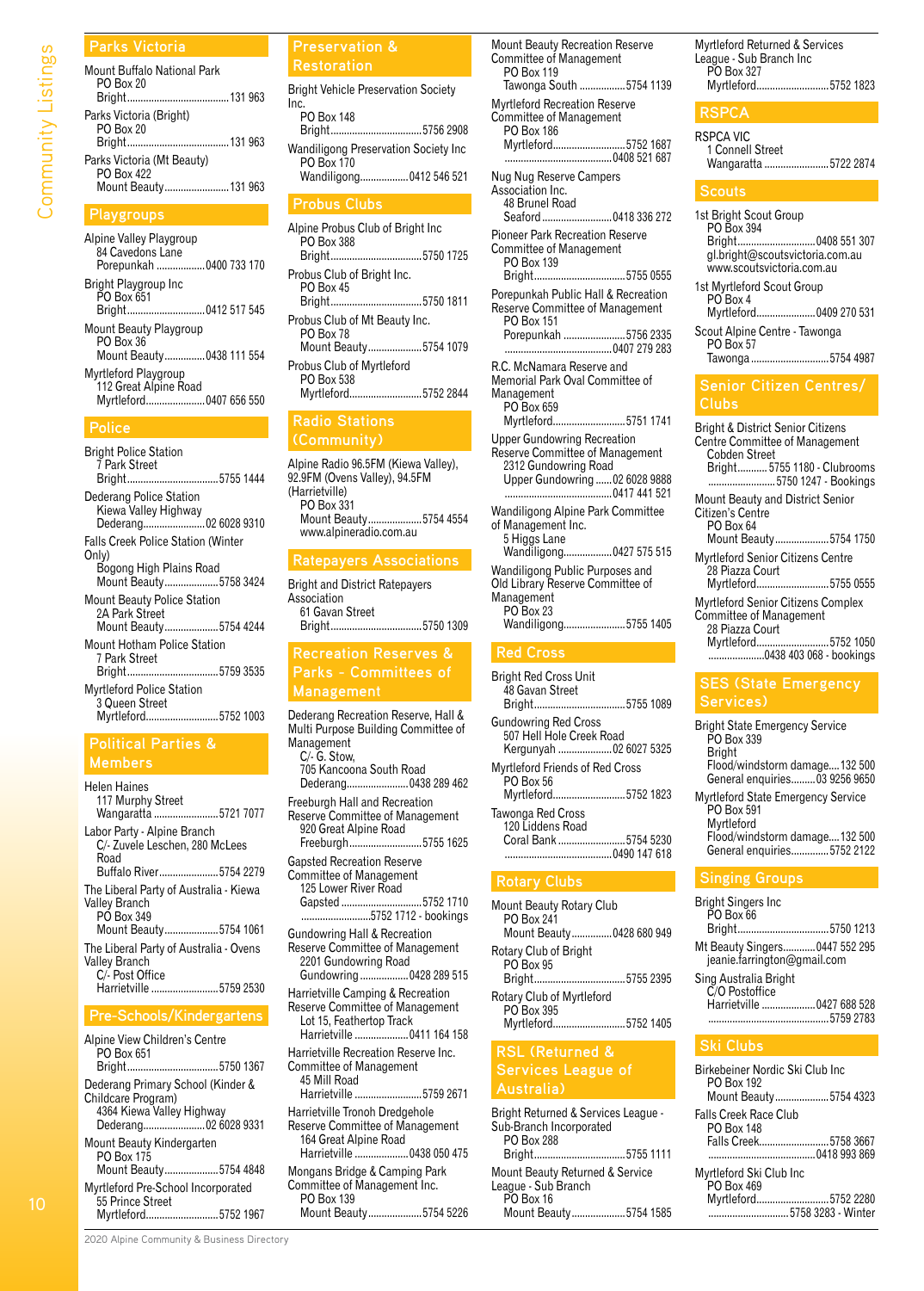# Community Listings Community Listings

| Mount Buffalo National Park                 |  |
|---------------------------------------------|--|
| <b>PO Box 20</b>                            |  |
| Parks Victoria (Bright)<br><b>PO Box 20</b> |  |
| Parks Victoria (Mt Beauty)<br>PO Box 422    |  |
| Mount Beauty 131 963                        |  |

#### **Playgroups**

**Parks Victoria**

Alpine Valley Playgroup 84 Cavedons Lane Porepunkah ..................0400 733 170 Bright Playgroup Inc PO Box 651 .........0412 517 545 Mount Beauty Playgroup PO Box 36 Mount Beauty...............0438 111 554 Myrtleford Playgroup 112 Great Alpine Road Myrtleford......................0407 656 550

#### **Police**

Bright Police Station 7 Park Street Bright..................................5755 1444 Dederang Police Station Kiewa Valley Highway<br>Dederang....................... Dederang.......................02 6028 9310 Falls Creek Police Station (Winter Only) Bogong High Plains Road<br>Mount Beauty...................5758 3424 Mount Beauty................ Mount Beauty Police Station 2A Park Street Mount Beauty....................5754 4244 Mount Hotham Police Station 7 Park Street ...5759 3535 Myrtleford Police Station 3 Queen Street Myrtleford...........................5752 1003

#### **Political Parties & Members**

| <b>Helen Haines</b><br>117 Murphy Street<br>Wangaratta 5721 7077                                     |
|------------------------------------------------------------------------------------------------------|
| Labor Party - Alpine Branch<br>C/- Zuvele Leschen, 280 McLees<br>Road<br>Buffalo River5754 2279      |
| The Liberal Party of Australia - Kiewa<br>Valley Branch<br>PO Box 349<br>Mount Beauty5754 1061       |
| The Liberal Party of Australia - Ovens<br>Valley Branch<br>C/- Post Office<br>Harrietville 5759 2530 |
| <b>Pre-Schools/Kindergartens</b>                                                                     |
| Alpine View Children's Centre<br>$\bigcap_{n=1}^{n}$                                                 |

| PO Box 651<br>Briaht5750 1367                                                                                |
|--------------------------------------------------------------------------------------------------------------|
| Dederang Primary School (Kinder &<br>Childcare Program)<br>4364 Kiewa Valley Highway<br>Dederang02 6028 9331 |
| Mount Beauty Kindergarten<br>PO Box 175<br>Mount Beauty5754 4848                                             |
| Myrtleford Pre-School Incorporated<br>55 Prince Street<br>Myrtleford5752 1967                                |

#### **Preservation & Restoration**

| <b>Bright Vehicle Preservation Society</b>         |
|----------------------------------------------------|
| Inc.<br><b>PO Box 148</b>                          |
| Bright5756 2908                                    |
| Wandiligong Preservation Society Inc<br>PO Box 170 |
| Wandiligong 0412 546 521                           |
| <b>Probus Clubs</b>                                |
| Alpine Probus Club of Bright Inc                   |

| Albine Probus Club of Briant Inc<br>PO Box 388<br>Bright5750 1725 |  |
|-------------------------------------------------------------------|--|
| Probus Club of Bright Inc.<br>PO Box 45<br>Bright5750 1811        |  |
| Probus Club of Mt Beauty Inc.<br><b>PO Box 78</b>                 |  |
| Mount Beauty5754 1079                                             |  |
| Probus Club of Myrtleford<br>PO Box 538                           |  |
| Myrtleford5752 2844                                               |  |

#### **Radio Stations**

Alpine Radio 96.5FM (Kiewa Valley), 92.9FM (Ovens Valley), 94.5FM (Harrietville) PO Box 331 Mount Beauty....................5754 4554 www.alpineradio.com.au

## **Ratepayers Associations**

Bright and District Ratepayers Association 61 Gavan Street .5750 1309

#### **Recreation Reserves & Parks - Committees of Management**

Dederang Recreation Reserve, Hall & Multi Purpose Building Committee of Management C/- G. Stow, 705 Kancoona South Road Dederang.......................0438 289 462 Freeburgh Hall and Recreation Reserve Committee of Management 920 Great Alpine Road Freeburgh...........................5755 1625 Gapsted Recreation Reserve Committee of Management 125 Lower River Road Gapsted ..............................5752 1710 .....5752 1712 - bookings Gundowring Hall & Recreation Reserve Committee of Management 2201 Gundowring Road Gundowring ..................0428 289 515 Harrietville Camping & Recreation Reserve Committee of Management Lot 15, Feathertop Track Harrietville ....................0411 164 158 Harrietville Recreation Reserve Inc. Committee of Management 45 Mill Road Harrietville .........................5759 2671 Harrietville Tronoh Dredgehole Reserve Committee of Management 164 Great Alpine Road Harrietville ....................0438 050 475 Mongans Bridge & Camping Park Committee of Management Inc.

PO Box 139 Mount Beauty....................5754 5226

| <b>Mount Beauty Recreation Reserve</b><br>Committee of Management<br>PO Box 119                                                 |  |
|---------------------------------------------------------------------------------------------------------------------------------|--|
| Tawonga South 5754 1139                                                                                                         |  |
| <b>Myrtleford Recreation Reserve</b><br>Committee of Management<br>PO Box 186<br>Myrtleford5752 1687<br>0408 521 687            |  |
| Nug Nug Reserve Campers<br>Association Inc.<br>48 Brunel Road<br>Seaford  0418 336 272                                          |  |
| <b>Pioneer Park Recreation Reserve</b><br>Committee of Management<br>PO Box 139<br>Bright5755 0555                              |  |
| Porepunkah Public Hall & Recreation<br>Reserve Committee of Management<br>PO Box 151<br>Porepunkah 5756 2335                    |  |
| R.C. McNamara Reserve and<br>Memorial Park Oval Committee of<br>Management<br>PO Box 659<br>Myrtleford5751 1741                 |  |
| <b>Upper Gundowring Recreation</b><br>Reserve Committee of Management<br>2312 Gundowring Road<br>Upper Gundowring  02 6028 9888 |  |
| Wandiligong Alpine Park Committee<br>of Management Inc.<br>5 Higgs Lane<br>Wandiligong 0427 575 515                             |  |
| Wandiligong Public Purposes and<br>Old Library Reserve Committee of<br>Management<br><b>PO Box 23</b><br>Wandiligong5755 1405   |  |

#### **Red Cross**

| <b>Bright Red Cross Unit</b><br>48 Gavan Street<br>Bright5755 1089                     |  |
|----------------------------------------------------------------------------------------|--|
| <b>Gundowring Red Cross</b><br>507 Hell Hole Creek Road<br>Kergunyah  02 6027 5325     |  |
| Myrtleford Friends of Red Cross<br>PO Box 56<br>Myrtleford5752 1823                    |  |
| Tawonga Red Cross<br>120 Liddens Road<br>Coral Bank 5754 5230<br>$\ldots$ 0490 147 618 |  |
|                                                                                        |  |

#### **Rotary Clubs**

| <b>Mount Beauty Rotary Club</b><br>PO Box 241 |
|-----------------------------------------------|
| Mount Beauty 0428 680 949                     |
| Rotary Club of Bright<br><b>PO Box 95</b>     |
| Bright5755 2395                               |
| Rotary Club of Myrtleford<br>PO Box 395       |
| Myrtleford5752 1405                           |
| <b>RSL (Returned &amp;</b>                    |

## **Services League of Australia)**

| Bright Returned & Services League - |
|-------------------------------------|
| Sub-Branch Incorporated             |
|                                     |
| Bright5755 1111                     |
| Mount Beauty Returned & Service     |
| League - Sub Branch                 |
|                                     |
| Mount Beauty5754 1585               |
|                                     |

Myrtleford Returned & Services League - Sub Branch Inc PO Box 327 Myrtleford...........................5752 1823

#### **RSPCA**

| RSPCA VIC            |  |
|----------------------|--|
| 1 Connell Street     |  |
| Wangaratta 5722 2874 |  |

#### **Scouts**

Ci

| 1st Bright Scout Group<br>PO Box 394<br>Bright 0408 551 307<br>gl.bright@scoutsvictoria.com.au<br>www.scoutsvictoria.com.au         |
|-------------------------------------------------------------------------------------------------------------------------------------|
| 1st Myrtleford Scout Group<br>PO Box 4<br>Myrtleford0409 270 531<br>Scout Alpine Centre - Tawonga<br>PO Box 57<br>Tawonga 5754 4987 |
|                                                                                                                                     |
| <b>Senior Citizen Centres/</b><br>Clubs                                                                                             |
| <b>Bright &amp; District Senior Citizens</b><br>Centre Committee of Management<br>Cobden Street<br>Bright 5755 1180 - Clubrooms     |

Myrtleford Senior Citizens Centre 28 Piazza Court Myrtleford...........................5755 0555

Myrtleford Senior Citizens Complex Committee of Management 28 Piazza Court

Myrtleford...........................5752 1050 .....................0438 403 068 - bookings

#### **SES (State Emergency Services)**

| <b>Bright State Emergency Service</b><br>PO Box 339<br><b>Bright</b>  |
|-----------------------------------------------------------------------|
| Flood/windstorm damage132 500<br>General enquiries 03 9256 9650       |
| <b>Myrtleford State Emergency Service</b><br>PO Box 591<br>Myrtleford |
| Flood/windstorm damage132 500<br>General enquiries5752 2122           |

#### **Singing Groups**

| <b>Bright Singers Inc</b><br>$\overline{P}$ O Box 66          |           |
|---------------------------------------------------------------|-----------|
| Bright5750 1213                                               |           |
| Mt Beauty Singers 0447 552 295<br>jeanie.farrington@gmail.com |           |
| Sing Australia Bright<br>C/O Postoffice                       |           |
| Harrietville  0427 688 528                                    | 5759 2783 |
|                                                               |           |

#### **Ski Clubs**

| Birkebeiner Nordic Ski Club Inc.<br>PO Box 192<br>Mount Beauty5754 4323            |  |
|------------------------------------------------------------------------------------|--|
| Falls Creek Race Club<br>PO Box 148<br>Falls Creek5758 3667                        |  |
| Myrtleford Ski Club Inc<br>PO Box 469<br>Myrtleford5752 2280<br>5758 3283 - Winter |  |